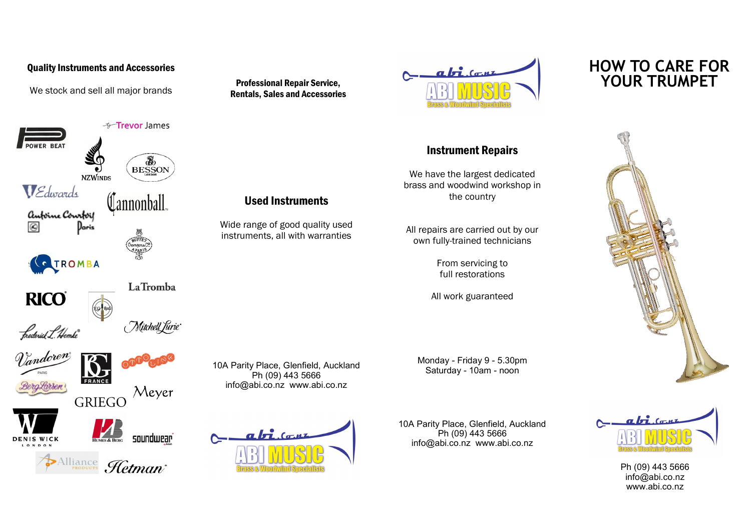## Quality Instruments and Accessories

We stock and sell all major brands



Professional Repair Service, Rentals, Sales and Accessories

Used Instruments

Wide range of good quality used instruments, all with warranties

Ph (09) 443 5666 info@abi.co.nz www.abi.co.nz

 $a\overrightarrow{h}$   $(a, \mu)$ 



## Instrument Repairs

We have the largest dedicated brass and woodwind workshop in the country

All repairs are carried out by our own fully-trained technicians

> From servicing to full restorations

All work guaranteed

Monday - Friday 9 - 5.30pm 10A Parity Place, Glenfield, Auckland<br>Saturday - 10am - noon 149 FCCC

> 10A Parity Place, Glenfield, Auckland Ph (09) 443 5666 info@abi.co.nz www.abi.co.nz

## **HOW TO CARE FOR YOUR TRUMPET**





Ph (09) 443 5666 info@abi.co.nz www.abi.co.nz